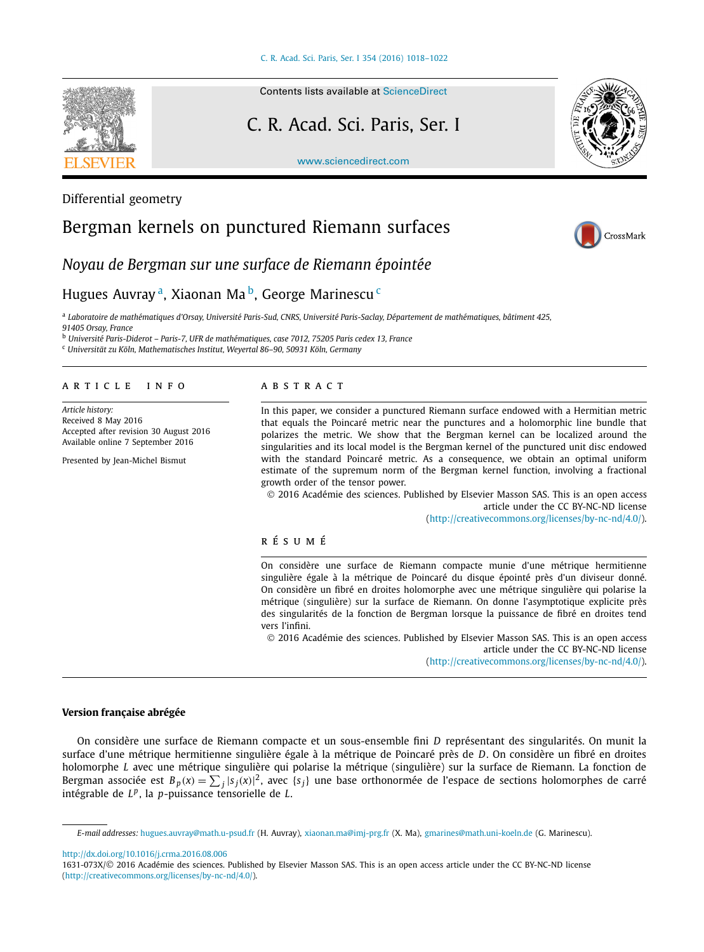

Differential geometry

#### Contents lists available at [ScienceDirect](http://www.ScienceDirect.com/)

# C. R. Acad. Sci. Paris, Ser. I

[www.sciencedirect.com](http://www.sciencedirect.com)



# Bergman kernels on punctured Riemann surfaces



*Noyau de Bergman sur une surface de Riemann épointée*

## Hugues Auvray<sup>a</sup>, Xiaonan Ma<sup>b</sup>, George Marinescu<sup>c</sup>

<sup>a</sup> Laboratoire de mathématiques d'Orsay, Université Paris-Sud, CNRS, Université Paris-Saclay, Département de mathématiques, bâtiment 425,

*91405 Orsay, France*

<sup>b</sup> *Université Paris-Diderot – Paris-7, UFR de mathématiques, case 7012, 75205 Paris cedex 13, France*

<sup>c</sup> *Universität zu Köln, Mathematisches Institut, Weyertal 86–90, 50931 Köln, Germany*

#### A R T I C L E I N F O A B S T R A C T

*Article history:* Received 8 May 2016 Accepted after revision 30 August 2016 Available online 7 September 2016

Presented by Jean-Michel Bismut

In this paper, we consider a punctured Riemann surface endowed with a Hermitian metric that equals the Poincaré metric near the punctures and a holomorphic line bundle that polarizes the metric. We show that the Bergman kernel can be localized around the singularities and its local model is the Bergman kernel of the punctured unit disc endowed with the standard Poincaré metric. As a consequence, we obtain an optimal uniform estimate of the supremum norm of the Bergman kernel function, involving a fractional growth order of the tensor power.

© 2016 Académie des sciences. Published by Elsevier Masson SAS. This is an open access article under the CC BY-NC-ND license [\(http://creativecommons.org/licenses/by-nc-nd/4.0/](http://creativecommons.org/licenses/by-nc-nd/4.0/)).

#### r é s u m é

On considère une surface de Riemann compacte munie d'une métrique hermitienne singulière égale à la métrique de Poincaré du disque épointé près d'un diviseur donné. On considère un fibré en droites holomorphe avec une métrique singulière qui polarise la métrique (singulière) sur la surface de Riemann. On donne l'asymptotique explicite près des singularités de la fonction de Bergman lorsque la puissance de fibré en droites tend vers l'infini.

© 2016 Académie des sciences. Published by Elsevier Masson SAS. This is an open access article under the CC BY-NC-ND license

[\(http://creativecommons.org/licenses/by-nc-nd/4.0/](http://creativecommons.org/licenses/by-nc-nd/4.0/)).

### **Version française abrégée**

On considère une surface de Riemann compacte et un sous-ensemble fini *D* représentant des singularités. On munit la surface d'une métrique hermitienne singulière égale à la métrique de Poincaré près de *D*. On considère un fibré en droites holomorphe *L* avec une métrique singulière qui polarise la métrique (singulière) sur la surface de Riemann. La fonction de Bergman associée est  $B_p(x) = \sum_j |s_j(x)|^2$ , avec  $\{s_j\}$  une base orthonormée de l'espace de sections holomorphes de carré intégrable de *L<sup>p</sup>*, la *p*-puissance tensorielle de *L*.

<http://dx.doi.org/10.1016/j.crma.2016.08.006>

*E-mail addresses:* [hugues.auvray@math.u-psud.fr](mailto:hugues.auvray@math.u-psud.fr) (H. Auvray), [xiaonan.ma@imj-prg.fr](mailto:xiaonan.ma@imj-prg.fr) (X. Ma), [gmarines@math.uni-koeln.de](mailto:gmarines@math.uni-koeln.de) (G. Marinescu).

<sup>1631-073</sup>X/© 2016 Académie des sciences. Published by Elsevier Masson SAS. This is an open access article under the CC BY-NC-ND license [\(http://creativecommons.org/licenses/by-nc-nd/4.0/](http://creativecommons.org/licenses/by-nc-nd/4.0/)).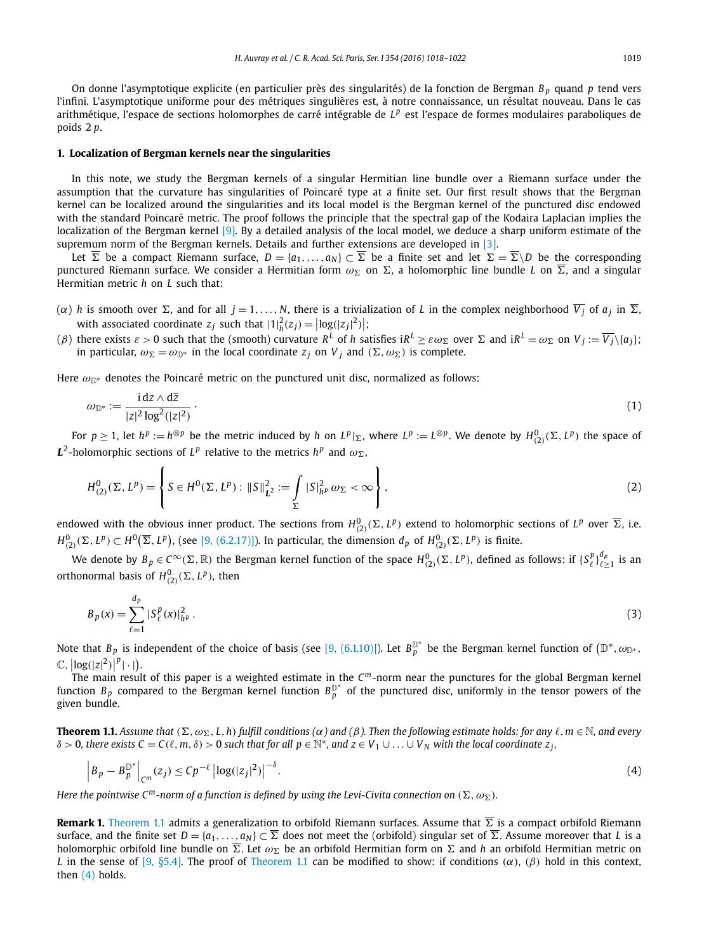<span id="page-1-0"></span>On donne l'asymptotique explicite (en particulier près des singularités) de la fonction de Bergman *Bp* quand *p* tend vers l'infini. L'asymptotique uniforme pour des métriques singulières est, à notre connaissance, un résultat nouveau. Dans le cas arithmétique, l'espace de sections holomorphes de carré intégrable de L<sup>p</sup> est l'espace de formes modulaires paraboliques de poids 2 *p*.

#### **1. Localization of Bergman kernels near the singularities**

In this note, we study the Bergman kernels of a singular Hermitian line bundle over a Riemann surface under the assumption that the curvature has singularities of Poincaré type at a finite set. Our first result shows that the Bergman kernel can be localized around the singularities and its local model is the Bergman kernel of the punctured disc endowed with the standard Poincaré metric. The proof follows the principle that the spectral gap of the Kodaira Laplacian implies the localization of the Bergman kernel [\[9\].](#page-4-0) By a detailed analysis of the local model, we deduce a sharp uniform estimate of the supremum norm of the Bergman kernels. Details and further extensions are developed in [\[3\].](#page-4-0)

Let  $\overline{\Sigma}$  be a compact Riemann surface,  $D = \{a_1,\ldots,a_N\} \subset \overline{\Sigma}$  be a finite set and let  $\Sigma = \overline{\Sigma} \backslash D$  be the corresponding punctured Riemann surface. We consider a Hermitian form  $ω_Σ$  on Σ, a holomorphic line bundle *L* on  $\overline{Σ}$ , and a singular Hermitian metric *h* on *L* such that:

- $(\alpha)$  *h* is smooth over  $\Sigma$ , and for all  $j = 1, \ldots, N$ , there is a trivialization of *L* in the complex neighborhood  $\overline{V_j}$  of  $a_j$  in  $\overline{\Sigma}$ , with associated coordinate  $z_j$  such that  $|1|^2_h(z_j) = |\log(|z_j|^2)|$ ;
- $(\beta)$  there exists  $\varepsilon>0$  such that the (smooth) curvature  $R^L$  of  $h$  satisfies i $R^L \geq \varepsilon \omega_\Sigma$  over  $\Sigma$  and i $R^L=\omega_\Sigma$  on  $V_j:=\overline{V_j}\backslash\{a_j\};$ in particular,  $\omega_{\Sigma} = \omega_{\mathbb{D}^*}$  in the local coordinate  $z_j$  on  $V_j$  and  $(\Sigma, \omega_{\Sigma})$  is complete.

Here  $\omega_{\mathbb{D}^*}$  denotes the Poincaré metric on the punctured unit disc, normalized as follows:

$$
\omega_{\mathbb{D}^*} := \frac{\mathrm{id} z \wedge \mathrm{d}\overline{z}}{|z|^2 \log^2(|z|^2)}.
$$
\n<sup>(1)</sup>

For  $p \ge 1$ , let  $h^p := h^{\otimes p}$  be the metric induced by h on  $L^p|_{\Sigma}$ , where  $L^p := L^{\otimes p}$ . We denote by  $H^0_{(2)}(\Sigma, L^p)$  the space of  $L^2$ -holomorphic sections of  $L^p$  relative to the metrics  $h^p$  and  $\omega_{\Sigma}$ ,

$$
H_{(2)}^{0}(\Sigma, L^{p}) = \left\{ S \in H^{0}(\Sigma, L^{p}) : ||S||_{L^{2}}^{2} := \int_{\Sigma} |S|_{h^{p}}^{2} \omega_{\Sigma} < \infty \right\},
$$
\n(2)

endowed with the obvious inner product. The sections from  $H^0_{(2)}(\Sigma,L^p)$  extend to holomorphic sections of  $L^p$  over  $\overline{\Sigma}$ , i.e.  $H^0_{(2)}(\Sigma,L^p)\subset H^0\big(\overline{\Sigma},L^p\big),$  (see [9, [\(6.2.17\)\]\)](#page-4-0). In particular, the dimension  $d_p$  of  $H^0_{(2)}(\Sigma,L^p)$  is finite.

We denote by  $B_p\in C^\infty(\Sigma,\R)$  the Bergman kernel function of the space  $H^0_{(2)}(\Sigma,L^p)$ , defined as follows: if  $\{S^p_\ell\}_{\ell\geq 1}^{d_p}$  is an orthonormal basis of  $H^0_{(2)}(\Sigma, L^p)$ , then

$$
B_p(x) = \sum_{\ell=1}^{d_p} |S_{\ell}^p(x)|_{h^p}^2.
$$
 (3)

Note that  $B_p$  is independent of the choice of basis (see [9, [\(6.1.10\)\]\)](#page-4-0). Let  $B_p^{\mathbb{D}^*}$  be the Bergman kernel function of  $(\mathbb{D}^*,\omega_{\mathbb{D}^*},$  $\mathbb{C}$ ,  $\left| \log(|z|^2) \right|^p |\cdot|$ .

 The main result of this paper is a weighted estimate in the *Cm*-norm near the punctures for the global Bergman kernel function  $B_p$  compared to the Bergman kernel function  $B_p^{\mathbb{D}^*}$  of the punctured disc, uniformly in the tensor powers of the given bundle.

**Theorem 1.1.** Assume that  $(\Sigma, \omega_{\Sigma}, L, h)$  fulfill conditions ( $\alpha$ ) and ( $\beta$ ). Then the following estimate holds: for any  $\ell, m \in \mathbb{N}$ , and every  $\delta > 0$ , there exists  $C = C(\ell, m, \delta) > 0$  such that for all  $p \in \mathbb{N}^*$ , and  $z \in V_1 \cup ... \cup V_N$  with the local coordinate  $z_i$ ,

$$
\left|B_p - B_p^{\mathbb{D}^*}\right|_{C^m}(z_j) \le C p^{-\ell} \left| \log(|z_j|^2) \right|^{-\delta}.
$$
\n(4)

Here the pointwise C<sup>m</sup>-norm of a function is defined by using the Levi-Civita connection on  $(\Sigma,\omega_\Sigma)$ .

**Remark 1.** Theorem 1.1 admits a generalization to orbifold Riemann surfaces. Assume that *-* is a compact orbifold Riemann surface, and the finite set  $D=\{a_1,\ldots,a_N\}\subset \overline{\Sigma}$  does not meet the (orbifold) singular set of  $\overline{\Sigma}$ . Assume moreover that *L* is a holomorphic orbifold line bundle on  $\overline{\Sigma}.$  Let  $\omega_\Sigma$  be an orbifold Hermitian form on  $\Sigma$  and  $h$  an orbifold Hermitian metric on *L* in the sense of [9, [§5.4\].](#page-4-0) The proof of Theorem 1.1 can be modified to show: if conditions *(α)*, *(β)* hold in this context, then (4) holds.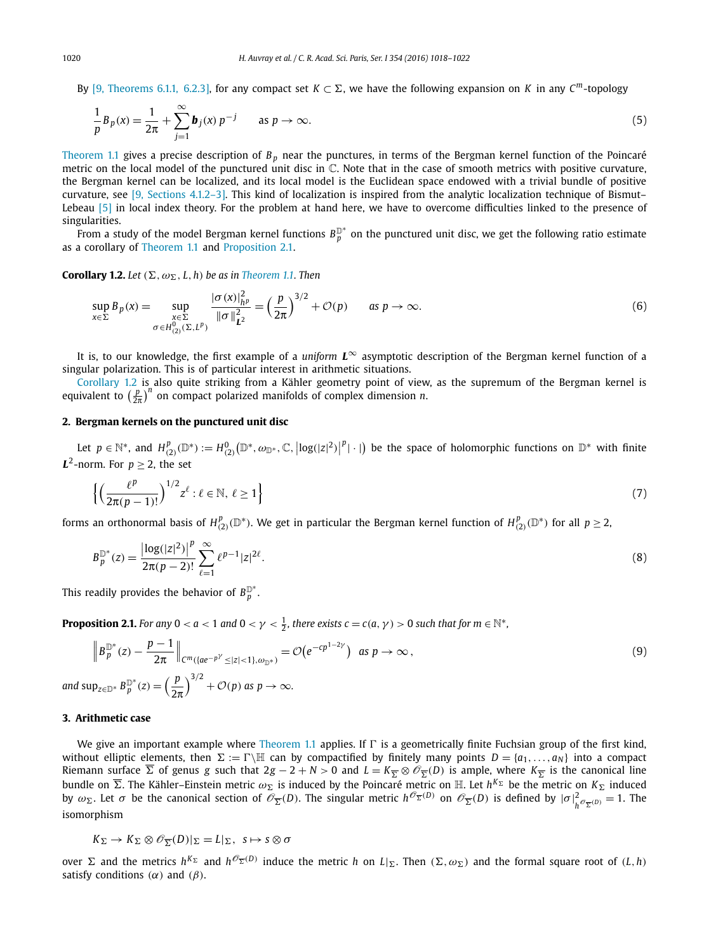<span id="page-2-0"></span>By [9, [Theorems 6.1.1, 6.2.3\],](#page-4-0) for any compact set  $K \subset \Sigma$ , we have the following expansion on *K* in any  $C^m$ -topology

$$
\frac{1}{p}B_p(x) = \frac{1}{2\pi} + \sum_{j=1}^{\infty} \mathbf{b}_j(x) p^{-j} \quad \text{as } p \to \infty.
$$
\n<sup>(5)</sup>

[Theorem 1.1](#page-1-0) gives a precise description of *Bp* near the punctures, in terms of the Bergman kernel function of the Poincaré metric on the local model of the punctured unit disc in  $\mathbb C$ . Note that in the case of smooth metrics with positive curvature, the Bergman kernel can be localized, and its local model is the Euclidean space endowed with a trivial bundle of positive curvature, see [9, [Sections](#page-4-0) 4.1.2–3]. This kind of localization is inspired from the analytic localization technique of Bismut– Lebeau [\[5\]](#page-4-0) in local index theory. For the problem at hand here, we have to overcome difficulties linked to the presence of singularities.

 $\bar{P}$  from a study of the model Bergman kernel functions  $B_p^{\mathbb{D}^*}$  on the punctured unit disc, we get the following ratio estimate as a corollary of [Theorem 1.1](#page-1-0) and Proposition 2.1.

**Corollary 1.2.** Let  $(\Sigma, \omega_{\Sigma}, L, h)$  be as in [Theorem 1.1.](#page-1-0) Then

$$
\sup_{x \in \Sigma} B_p(x) = \sup_{\substack{x \in \Sigma \\ \sigma \in H_{(2)}^0(\Sigma, L^p)}} \frac{|\sigma(x)|_{h^p}^2}{\|\sigma\|_{L^2}^2} = \left(\frac{p}{2\pi}\right)^{3/2} + \mathcal{O}(p) \quad \text{as } p \to \infty.
$$
 (6)

It is, to our knowledge, the first example of a *uniform L*<sup>∞</sup> asymptotic description of the Bergman kernel function of a singular polarization. This is of particular interest in arithmetic situations.

*Corollary 1.2* is also quite striking from a Kähler geometry point of view, as the supremum of the Bergman kernel is equivalent to  $\left(\frac{p}{2\pi}\right)^n$  on compact polarized manifolds of complex dimension *n*.

#### **2. Bergman kernels on the punctured unit disc**

Let  $p \in \mathbb{N}^*$ , and  $H^p_{(2)}(\mathbb{D}^*) := H^0_{(2)}(\mathbb{D}^*, \omega_{\mathbb{D}^*}, \mathbb{C}, |\log(|z|^2)|^p|\cdot|)$  be the space of holomorphic functions on  $\mathbb{D}^*$  with finite *L*<sup>2</sup>-norm. For  $p > 2$ , the set

$$
\left\{ \left( \frac{\ell^p}{2\pi(p-1)!} \right)^{1/2} z^{\ell} : \ell \in \mathbb{N}, \ \ell \ge 1 \right\}
$$
\n
$$
\tag{7}
$$

forms an orthonormal basis of  $H_{(2)}^p(\mathbb{D}^*)$ . We get in particular the Bergman kernel function of  $H_{(2)}^p(\mathbb{D}^*)$  for all  $p\geq 2$ ,

$$
B_p^{\mathbb{D}^*}(z) = \frac{\left|\log(|z|^2)\right|^p}{2\pi(p-2)!} \sum_{\ell=1}^{\infty} \ell^{p-1} |z|^{2\ell}.
$$
 (8)

This readily provides the behavior of  $B^{\mathbb{D}^*}_p.$ 

**Proposition 2.1.** For any  $0 < a < 1$  and  $0 < \gamma < \frac{1}{2}$ , there exists  $c = c(a, \gamma) > 0$  such that for  $m \in \mathbb{N}^*$ ,

$$
\|B_p^{\mathbb{D}^*}(z) - \frac{p-1}{2\pi}\|_{C^m(\{ae^{-p^{\gamma}} \le |z| < 1\}, \omega_{\mathbb{D}^*})} = \mathcal{O}(e^{-cp^{1-2\gamma}}) \text{ as } p \to \infty,
$$
\n
$$
\text{and sup}_{z \in \mathbb{D}^*} B_p^{\mathbb{D}^*}(z) = \left(\frac{p}{2\pi}\right)^{3/2} + \mathcal{O}(p) \text{ as } p \to \infty.
$$
\n
$$
(9)
$$

#### **3. Arithmetic case**

We give an important example where [Theorem 1.1](#page-1-0) applies. If  $\Gamma$  is a geometrically finite Fuchsian group of the first kind, without elliptic elements, then  $\Sigma := \Gamma \backslash \mathbb{H}$  can by compactified by finitely many points  $D = \{a_1, \ldots, a_N\}$  into a compact Riemann surface  $\overline{\Sigma}$  of genus *g* such that 2*g* − 2 + *N* > 0 and *L* =  $K_{\overline{\Sigma}} \otimes \mathcal{O}_{\overline{\Sigma}}(D)$  is ample, where  $K_{\overline{\Sigma}}$  is the canonical line bundle on  $\overline{\Sigma}.$  The Kähler–Einstein metric  $\omega_\Sigma$  is induced by the Poincaré metric on  $\Bbb H.$  Let  $h^{K_\Sigma}$  be the metric on  $K_\Sigma$  induced by  $\omega_{\Sigma}$ . Let  $\sigma$  be the canonical section of  $\mathscr{O}_{\overline{\Sigma}}(D)$ . The singular metric  $h^{\mathscr{O}_{\overline{\Sigma}}(D)}$  on  $\mathscr{O}_{\overline{\Sigma}}(D)$  is defined by  $|\sigma|^2_{h^{\mathscr{O}_{\overline{\Sigma}}(D)}}=1$ . The isomorphism

$$
K_{\Sigma} \to K_{\Sigma} \otimes \mathscr{O}_{\overline{\Sigma}}(D)|_{\Sigma} = L|_{\Sigma}, \ s \mapsto s \otimes \sigma
$$

over  $\Sigma$  and the metrics  $h^{K_{\Sigma}}$  and  $h^{\mathcal{O}_{\overline{\Sigma}}(D)}$  induce the metric h on  $L|_{\Sigma}$ . Then  $(\Sigma, \omega_{\Sigma})$  and the formal square root of  $(L, h)$ satisfy conditions  $(\alpha)$  and  $(\beta)$ .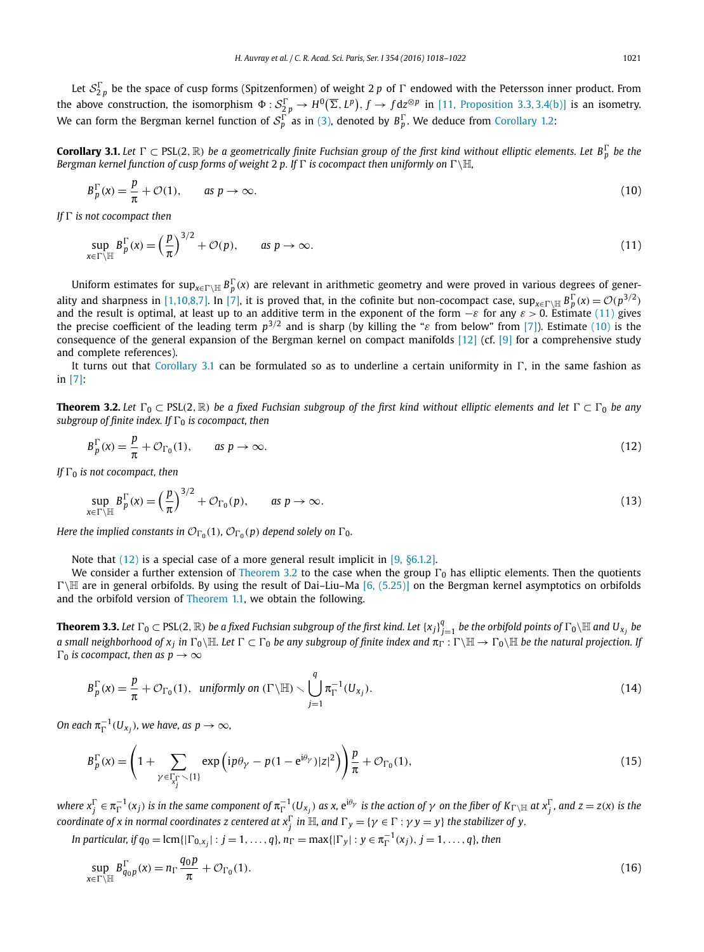<span id="page-3-0"></span>Let  ${\cal S}_{2\,p}^\Gamma$  be the space of cusp forms (Spitzenformen) of weight 2  $p$  of  $\Gamma$  endowed with the Petersson inner product. From the above construction, the isomorphism  $\Phi: S_{2p}^{\Gamma} \to H^0(\overline{\Sigma}, L^p)$ ,  $f \to f dz^{\otimes p}$  in [11, [Proposition 3.3, 3.4\(b\)\]](#page-4-0) is an isometry. We can form the Bergman kernel function of  $S_p^{\Gamma}$  as in [\(3\),](#page-1-0) denoted by  $B_p^{\Gamma}$ . We deduce from [Corollary 1.2:](#page-2-0)

**Corollary 3.1.** Let  $\Gamma \subset$  PSL(2,  $\R$ ) be a geometrically finite Fuchsian group of the first kind without elliptic elements. Let  $B_p^{\Gamma}$  be the *Bergman kernel function of cusp forms of weight* 2 *p. If*  $\Gamma$  *is cocompact then uniformly on*  $\Gamma \setminus \mathbb{H}$ *,* 

$$
B_p^{\Gamma}(x) = \frac{p}{\pi} + \mathcal{O}(1), \qquad \text{as } p \to \infty.
$$
 (10)

*If is not cocompact then*

$$
\sup_{x \in \Gamma \setminus \mathbb{H}} B_p^{\Gamma}(x) = \left(\frac{p}{\pi}\right)^{3/2} + \mathcal{O}(p), \qquad \text{as } p \to \infty.
$$
 (11)

Uniform estimates for sup $_{\chi\in\Gamma\backslash\Bbb H}$   $B_p^\Gamma(x)$  are relevant in arithmetic geometry and were proved in various degrees of gener-ality and sharpness in [\[1,10,8,7\].](#page-4-0) In [\[7\],](#page-4-0) it is proved that, in the cofinite but non-cocompact case,  $\sup_{x \in \Gamma \setminus \mathbb{H}} B_p^{\Gamma}(x) = \mathcal{O}(p^{3/2})$ and the result is optimal, at least up to an additive term in the exponent of the form −*ε* for any *ε >* 0. Estimate (11) gives the precise coefficient of the leading term *p*3*/*<sup>2</sup> and is sharp (by killing the "*ε* from below" from [\[7\]\)](#page-4-0). Estimate (10) is the consequence of the general expansion of the Bergman kernel on compact manifolds [\[12\]](#page-4-0) (cf. [\[9\]](#page-4-0) for a comprehensive study and complete references).

It turns out that Corollary 3.1 can be formulated so as to underline a certain uniformity in  $\Gamma$ , in the same fashion as in [\[7\]:](#page-4-0)

**Theorem 3.2.** Let  $\Gamma_0 \subset PSL(2,\mathbb{R})$  be a fixed Fuchsian subgroup of the first kind without elliptic elements and let  $\Gamma \subset \Gamma_0$  be any *subgroup of finite index. If*  $\Gamma_0$  *is cocompact, then* 

$$
B_p^{\Gamma}(x) = \frac{p}{\pi} + \mathcal{O}_{\Gamma_0}(1), \qquad \text{as } p \to \infty.
$$
 (12)

*If*  $\Gamma_0$  *is not cocompact, then* 

$$
\sup_{x \in \Gamma \backslash \mathbb{H}} B_p^{\Gamma}(x) = \left(\frac{p}{\pi}\right)^{3/2} + \mathcal{O}_{\Gamma_0}(p), \qquad \text{as } p \to \infty.
$$
 (13)

*Here the implied constants in*  $\mathcal{O}_{\Gamma_0}(1)$ *,*  $\mathcal{O}_{\Gamma_0}(p)$  *depend solely on*  $\Gamma_0$ *.* 

Note that  $(12)$  is a special case of a more general result implicit in [9,  $\S6.1.2$ ].

We consider a further extension of Theorem 3.2 to the case when the group  $\Gamma_0$  has elliptic elements. Then the quotients  $\Gamma\backslash\mathbb{H}$  are in general orbifolds. By using the result of Dai–Liu–Ma [6, [\(5.25\)\]](#page-4-0) on the Bergman kernel asymptotics on orbifolds and the orbifold version of [Theorem 1.1,](#page-1-0) we obtain the following.

**Theorem 3.3.** Let  $\Gamma_0\subset$  PSL(2,  $\R$ ) be a fixed Fuchsian subgroup of the first kind. Let  $\{x_j\}_{j=1}^q$  be the orbifold points of  $\Gamma_0\backslash\Bbb H$  and  $U_{x_j}$  be a small neighborhood of  $x_j$  in  $\Gamma_0 \backslash \mathbb{H}$ . Let  $\Gamma \subset \Gamma_0$  be any subgroup of finite index and  $\pi_{\Gamma} : \Gamma \backslash \mathbb{H} \to \Gamma_0 \backslash \mathbb{H}$  be the natural projection. If  $\Gamma_0$  *is cocompact, then as*  $p \to \infty$ 

$$
B_p^{\Gamma}(x) = \frac{p}{\pi} + \mathcal{O}_{\Gamma_0}(1), \quad \text{uniformly on } (\Gamma \backslash \mathbb{H}) \setminus \bigcup_{j=1}^q \pi_{\Gamma}^{-1}(U_{x_j}). \tag{14}
$$

 $\mathsf{On}~\mathsf{each}~\pi_{\Gamma}^{-1}(U_{\mathsf{x}_j})\text{, we have, as }p\rightarrow\infty\text{,}$ 

$$
B_p^{\Gamma}(\mathbf{x}) = \left(1 + \sum_{\gamma \in \Gamma_{\mathcal{X}_j^{\Gamma}} \setminus \{1\}} \exp\left(i p \theta_{\gamma} - p(1 - e^{i\theta_{\gamma}})|z|^2\right)\right) \frac{p}{\pi} + \mathcal{O}_{\Gamma_0}(1),\tag{15}
$$

where  $x_j^\Gamma\in\pi_\Gamma^{-1}(x_j)$  is in the same component of  $\pi_\Gamma^{-1}(U_{x_j})$  as x,  ${\rm e}^{{\rm i}\theta_\gamma}$  is the action of  $\gamma$  on the fiber of  $K_{\Gamma\setminus\mathbb{H}}$  at  $x_j^\Gamma$ , and  $z=z(x)$  is the coordinate of x in normal coordinates z centered at  $x_j^\Gamma$  in  $\mathbb H$ , and  $\Gamma_y=\{\gamma\in\Gamma:\gamma\,y=y\}$  the stabilizer of y.

In particular, if  $q_0 = \text{lcm}\{|\Gamma_{0,x_j}| : j = 1,\ldots,q\}$ ,  $n_{\Gamma} = \max\{|\Gamma_y| : y \in \pi_{\Gamma}^{-1}(x_j), j = 1,\ldots,q\}$ , then

$$
\sup_{x \in \Gamma \setminus \mathbb{H}} B_{q_0 p}^{\Gamma}(x) = n_{\Gamma} \frac{q_0 p}{\pi} + \mathcal{O}_{\Gamma_0}(1). \tag{16}
$$